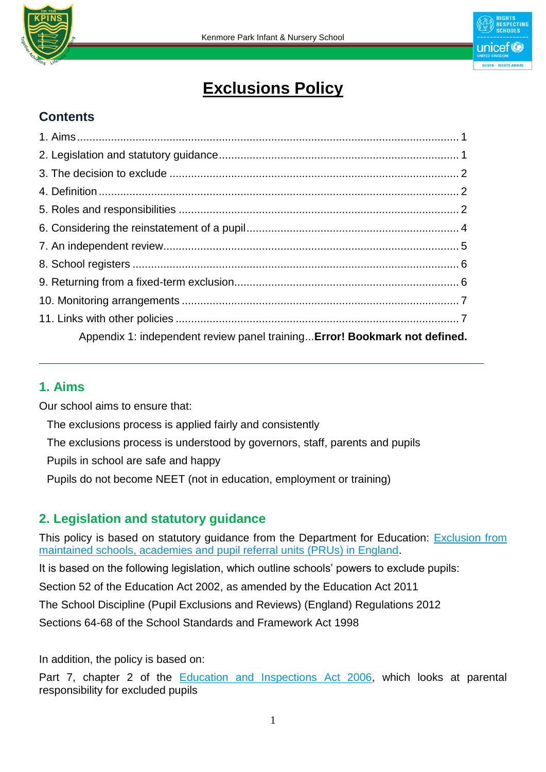



# **Exclusions Policy**

## **Contents**

| Appendix 1: independent review panel training Error! Bookmark not defined. |  |
|----------------------------------------------------------------------------|--|

### **1. Aims**

Our school aims to ensure that:

The exclusions process is applied fairly and consistently

The exclusions process is understood by governors, staff, parents and pupils

Pupils in school are safe and happy

Pupils do not become NEET (not in education, employment or training)

### **2. Legislation and statutory guidance**

This policy is based on statutory guidance from the Department for Education: **Exclusion from** [maintained schools, academies and pupil referral units \(PRUs\) in England.](https://www.gov.uk/government/publications/school-exclusion)

It is based on the following legislation, which outline schools' powers to exclude pupils:

Section 52 of the [Education Act 2002,](http://www.legislation.gov.uk/ukpga/2002/32/section/52) as amended by the [Education Act 2011](http://www.legislation.gov.uk/ukpga/2011/21/contents/enacted)

[The School Discipline \(Pupil Exclusions and Reviews\) \(England\) Regulations 2012](http://www.legislation.gov.uk/uksi/2012/1033/made)

Sections 64-68 of the [School Standards and Framework Act 1998](http://www.legislation.gov.uk/ukpga/1998/31)

In addition, the policy is based on:

Part 7, chapter 2 of the [Education and Inspections Act 2006,](http://www.legislation.gov.uk/ukpga/2006/40/part/7/chapter/2) which looks at parental responsibility for excluded pupils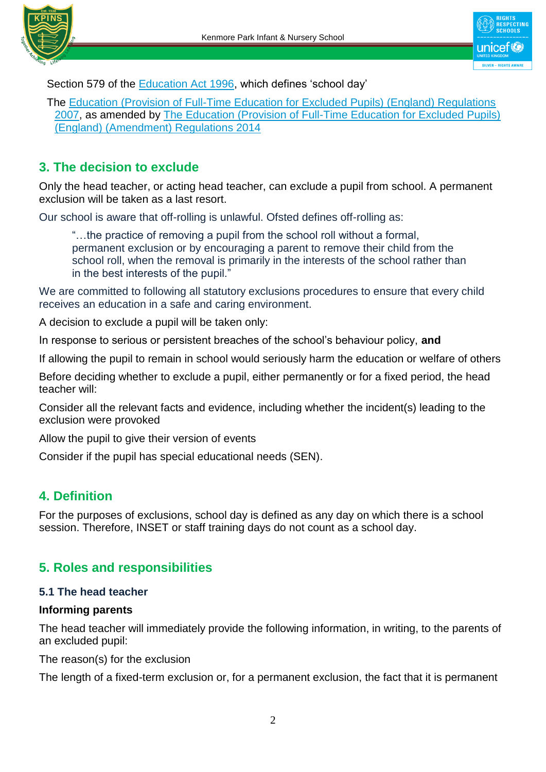



Section 579 of the [Education Act 1996,](http://www.legislation.gov.uk/ukpga/1996/56/section/579) which defines 'school day'

The [Education \(Provision of Full-Time Education for Excluded Pupils\) \(England\) Regulations](http://www.legislation.gov.uk/uksi/2007/1870/contents/made)  [2007,](http://www.legislation.gov.uk/uksi/2007/1870/contents/made) as amended by [The Education \(Provision of Full-Time Education for Excluded Pupils\)](http://www.legislation.gov.uk/uksi/2014/3216/contents/made)  [\(England\) \(Amendment\) Regulations 2014](http://www.legislation.gov.uk/uksi/2014/3216/contents/made)

# **3. The decision to exclude**

Only the head teacher, or acting head teacher, can exclude a pupil from school. A permanent exclusion will be taken as a last resort.

Our school is aware that off-rolling is unlawful. Ofsted defines off-rolling as:

"…the practice of removing a pupil from the school roll without a formal, permanent exclusion or by encouraging a parent to remove their child from the school roll, when the removal is primarily in the interests of the school rather than in the best interests of the pupil."

We are committed to following all statutory exclusions procedures to ensure that every child receives an education in a safe and caring environment.

A decision to exclude a pupil will be taken only:

In response to serious or persistent breaches of the school's behaviour policy, **and**

If allowing the pupil to remain in school would seriously harm the education or welfare of others

Before deciding whether to exclude a pupil, either permanently or for a fixed period, the head teacher will:

Consider all the relevant facts and evidence, including whether the incident(s) leading to the exclusion were provoked

Allow the pupil to give their version of events

Consider if the pupil has special educational needs (SEN).

## **4. Definition**

For the purposes of exclusions, school day is defined as any day on which there is a school session. Therefore, INSET or staff training days do not count as a school day.

## **5. Roles and responsibilities**

#### **5.1 The head teacher**

#### **Informing parents**

The head teacher will immediately provide the following information, in writing, to the parents of an excluded pupil:

The reason(s) for the exclusion

The length of a fixed-term exclusion or, for a permanent exclusion, the fact that it is permanent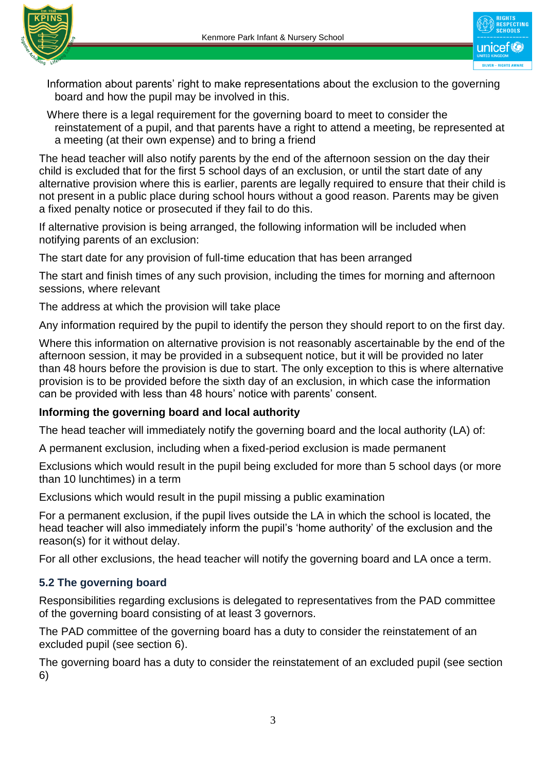



Information about parents' right to make representations about the exclusion to the governing board and how the pupil may be involved in this.

Where there is a legal requirement for the governing board to meet to consider the reinstatement of a pupil, and that parents have a right to attend a meeting, be represented at a meeting (at their own expense) and to bring a friend

The head teacher will also notify parents by the end of the afternoon session on the day their child is excluded that for the first 5 school days of an exclusion, or until the start date of any alternative provision where this is earlier, parents are legally required to ensure that their child is not present in a public place during school hours without a good reason. Parents may be given a fixed penalty notice or prosecuted if they fail to do this.

If alternative provision is being arranged, the following information will be included when notifying parents of an exclusion:

The start date for any provision of full-time education that has been arranged

The start and finish times of any such provision, including the times for morning and afternoon sessions, where relevant

The address at which the provision will take place

Any information required by the pupil to identify the person they should report to on the first day.

Where this information on alternative provision is not reasonably ascertainable by the end of the afternoon session, it may be provided in a subsequent notice, but it will be provided no later than 48 hours before the provision is due to start. The only exception to this is where alternative provision is to be provided before the sixth day of an exclusion, in which case the information can be provided with less than 48 hours' notice with parents' consent.

#### **Informing the governing board and local authority**

The head teacher will immediately notify the governing board and the local authority (LA) of:

A permanent exclusion, including when a fixed-period exclusion is made permanent

Exclusions which would result in the pupil being excluded for more than 5 school days (or more than 10 lunchtimes) in a term

Exclusions which would result in the pupil missing a public examination

For a permanent exclusion, if the pupil lives outside the LA in which the school is located, the head teacher will also immediately inform the pupil's 'home authority' of the exclusion and the reason(s) for it without delay.

For all other exclusions, the head teacher will notify the governing board and LA once a term.

#### **5.2 The governing board**

Responsibilities regarding exclusions is delegated to representatives from the PAD committee of the governing board consisting of at least 3 governors.

The PAD committee of the governing board has a duty to consider the reinstatement of an excluded pupil (see section 6).

The governing board has a duty to consider the reinstatement of an excluded pupil (see section 6)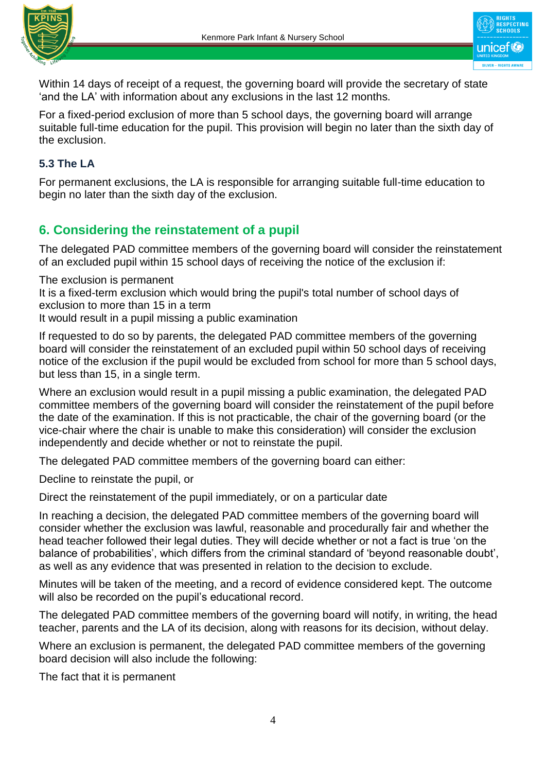



Within 14 days of receipt of a request, the governing board will provide the secretary of state 'and the LA' with information about any exclusions in the last 12 months.

For a fixed-period exclusion of more than 5 school days, the governing board will arrange suitable full-time education for the pupil. This provision will begin no later than the sixth day of the exclusion.

### **5.3 The LA**

For permanent exclusions, the LA is responsible for arranging suitable full-time education to begin no later than the sixth day of the exclusion.

# **6. Considering the reinstatement of a pupil**

The delegated PAD committee members of the governing board will consider the reinstatement of an excluded pupil within 15 school days of receiving the notice of the exclusion if:

The exclusion is permanent

It is a fixed-term exclusion which would bring the pupil's total number of school days of exclusion to more than 15 in a term

It would result in a pupil missing a public examination

If requested to do so by parents, the delegated PAD committee members of the governing board will consider the reinstatement of an excluded pupil within 50 school days of receiving notice of the exclusion if the pupil would be excluded from school for more than 5 school days, but less than 15, in a single term.

Where an exclusion would result in a pupil missing a public examination, the delegated PAD committee members of the governing board will consider the reinstatement of the pupil before the date of the examination. If this is not practicable, the chair of the governing board (or the vice-chair where the chair is unable to make this consideration) will consider the exclusion independently and decide whether or not to reinstate the pupil.

The delegated PAD committee members of the governing board can either:

Decline to reinstate the pupil, or

Direct the reinstatement of the pupil immediately, or on a particular date

In reaching a decision, the delegated PAD committee members of the governing board will consider whether the exclusion was lawful, reasonable and procedurally fair and whether the head teacher followed their legal duties. They will decide whether or not a fact is true 'on the balance of probabilities', which differs from the criminal standard of 'beyond reasonable doubt', as well as any evidence that was presented in relation to the decision to exclude.

Minutes will be taken of the meeting, and a record of evidence considered kept. The outcome will also be recorded on the pupil's educational record.

The delegated PAD committee members of the governing board will notify, in writing, the head teacher, parents and the LA of its decision, along with reasons for its decision, without delay.

Where an exclusion is permanent, the delegated PAD committee members of the governing board decision will also include the following:

The fact that it is permanent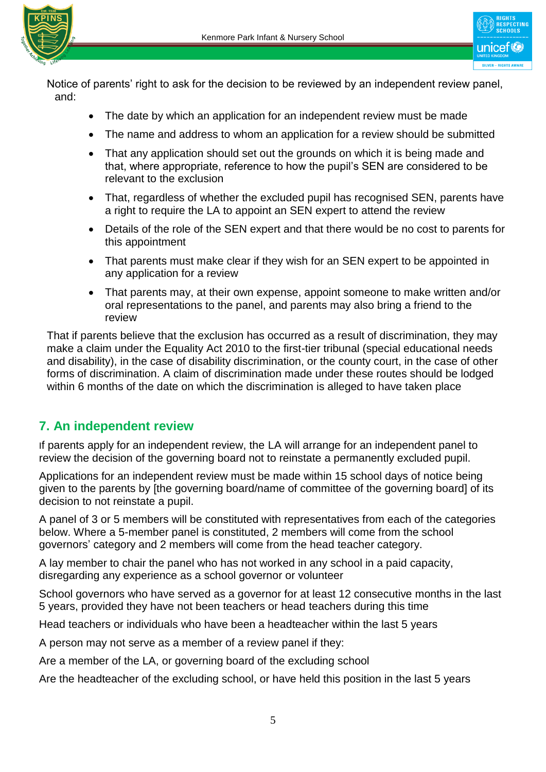



Notice of parents' right to ask for the decision to be reviewed by an independent review panel, and:

- The date by which an application for an independent review must be made
- The name and address to whom an application for a review should be submitted
- That any application should set out the grounds on which it is being made and that, where appropriate, reference to how the pupil's SEN are considered to be relevant to the exclusion
- That, regardless of whether the excluded pupil has recognised SEN, parents have a right to require the LA to appoint an SEN expert to attend the review
- Details of the role of the SEN expert and that there would be no cost to parents for this appointment
- That parents must make clear if they wish for an SEN expert to be appointed in any application for a review
- That parents may, at their own expense, appoint someone to make written and/or oral representations to the panel, and parents may also bring a friend to the review

That if parents believe that the exclusion has occurred as a result of discrimination, they may make a claim under the Equality Act 2010 to the first-tier tribunal (special educational needs and disability), in the case of disability discrimination, or the county court, in the case of other forms of discrimination. A claim of discrimination made under these routes should be lodged within 6 months of the date on which the discrimination is alleged to have taken place

## **7. An independent review**

If parents apply for an independent review, the LA will arrange for an independent panel to review the decision of the governing board not to reinstate a permanently excluded pupil.

Applications for an independent review must be made within 15 school days of notice being given to the parents by [the governing board/name of committee of the governing board] of its decision to not reinstate a pupil.

A panel of 3 or 5 members will be constituted with representatives from each of the categories below. Where a 5-member panel is constituted, 2 members will come from the school governors' category and 2 members will come from the head teacher category.

A lay member to chair the panel who has not worked in any school in a paid capacity, disregarding any experience as a school governor or volunteer

School governors who have served as a governor for at least 12 consecutive months in the last 5 years, provided they have not been teachers or head teachers during this time

Head teachers or individuals who have been a headteacher within the last 5 years

A person may not serve as a member of a review panel if they:

Are a member of the LA, or governing board of the excluding school

Are the headteacher of the excluding school, or have held this position in the last 5 years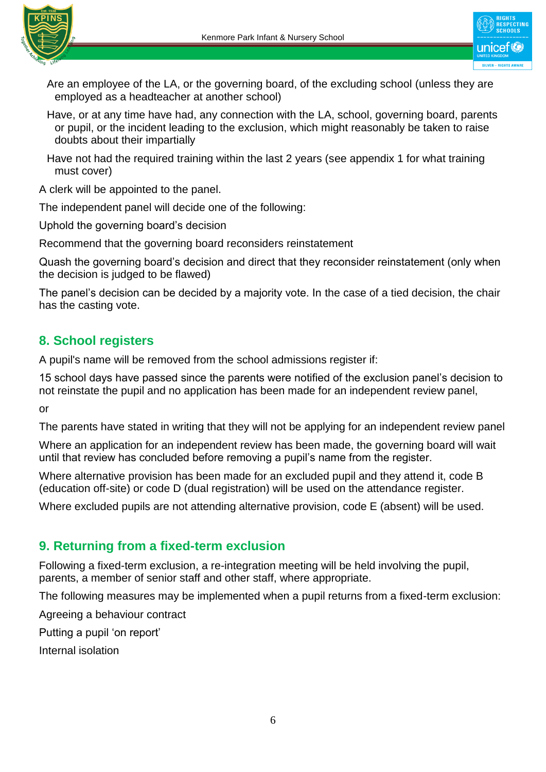

unicef<sup>®</sup>

Are an employee of the LA, or the governing board, of the excluding school (unless they are employed as a headteacher at another school)

- Have, or at any time have had, any connection with the LA, school, governing board, parents or pupil, or the incident leading to the exclusion, which might reasonably be taken to raise doubts about their impartially
- Have not had the required training within the last 2 years (see appendix 1 for what training must cover)

A clerk will be appointed to the panel.

The independent panel will decide one of the following:

Uphold the governing board's decision

Recommend that the governing board reconsiders reinstatement

Quash the governing board's decision and direct that they reconsider reinstatement (only when the decision is judged to be flawed)

The panel's decision can be decided by a majority vote. In the case of a tied decision, the chair has the casting vote.

## **8. School registers**

A pupil's name will be removed from the school admissions register if:

15 school days have passed since the parents were notified of the exclusion panel's decision to not reinstate the pupil and no application has been made for an independent review panel,

or

The parents have stated in writing that they will not be applying for an independent review panel

Where an application for an independent review has been made, the governing board will wait until that review has concluded before removing a pupil's name from the register.

Where alternative provision has been made for an excluded pupil and they attend it, code B (education off-site) or code D (dual registration) will be used on the attendance register.

Where excluded pupils are not attending alternative provision, code E (absent) will be used.

## **9. Returning from a fixed-term exclusion**

Following a fixed-term exclusion, a re-integration meeting will be held involving the pupil, parents, a member of senior staff and other staff, where appropriate.

The following measures may be implemented when a pupil returns from a fixed-term exclusion:

Agreeing a behaviour contract

Putting a pupil 'on report'

Internal isolation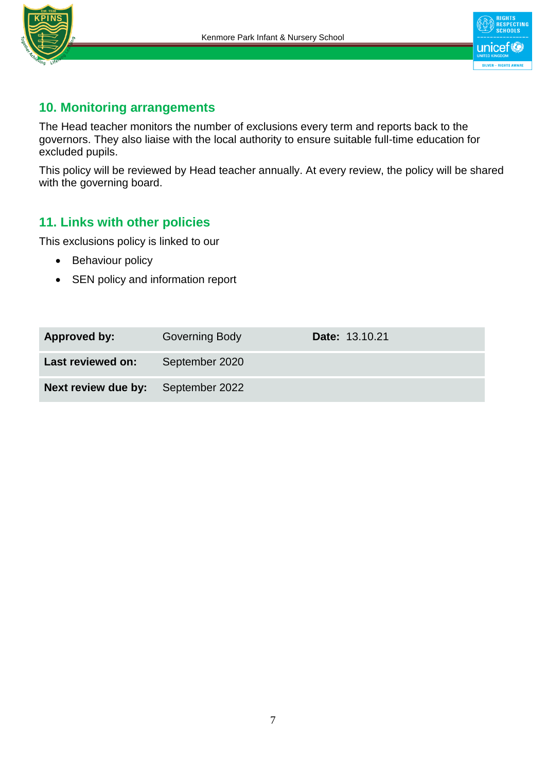



## **10. Monitoring arrangements**

The Head teacher monitors the number of exclusions every term and reports back to the governors. They also liaise with the local authority to ensure suitable full-time education for excluded pupils.

This policy will be reviewed by Head teacher annually. At every review, the policy will be shared with the governing board.

## **11. Links with other policies**

This exclusions policy is linked to our

- Behaviour policy
- SEN policy and information report

| Approved by:                              | Governing Body | Date: 13.10.21 |
|-------------------------------------------|----------------|----------------|
| Last reviewed on:                         | September 2020 |                |
| <b>Next review due by:</b> September 2022 |                |                |